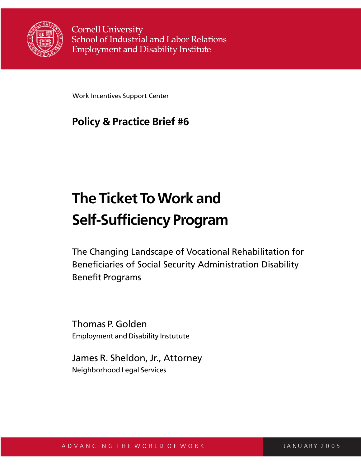

**Cornell University** School of Industrial and Labor Relations **Employment and Disability Institute** 

Work Incentives Support Center

# **Policy & Practice Brief #6**

# **The Ticket To Work and Self-Sufficiency Program**

The Changing Landscape of Vocational Rehabilitation for Beneficiaries of Social Security Administration Disability Benefit Programs

Thomas P. Golden Employment and Disability Instutute

James R. Sheldon, Jr., Attorney Neighborhood Legal Services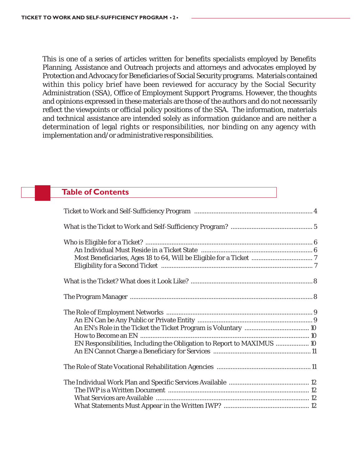This is one of a series of articles written for benefits specialists employed by Benefits Planning, Assistance and Outreach projects and attorneys and advocates employed by Protection and Advocacy for Beneficiaries of Social Security programs. Materials contained within this policy brief have been reviewed for accuracy by the Social Security Administration (SSA), Office of Employment Support Programs. However, the thoughts and opinions expressed in these materials are those of the authors and do not necessarily reflect the viewpoints or official policy positions of the SSA. The information, materials and technical assistance are intended solely as information guidance and are neither a determination of legal rights or responsibilities, nor binding on any agency with implementation and/or administrative responsibilities.

# **Table of Contents**

| EN Responsibilities, Including the Obligation to Report to MAXIMUS  10 |  |
|------------------------------------------------------------------------|--|
|                                                                        |  |
|                                                                        |  |
|                                                                        |  |
|                                                                        |  |
|                                                                        |  |
|                                                                        |  |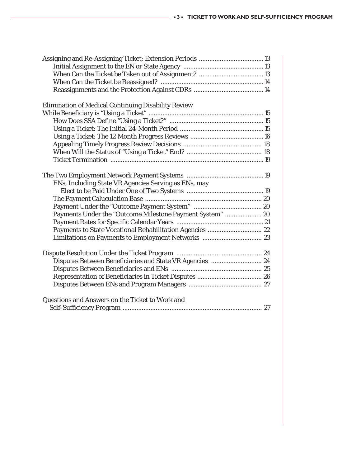| Assigning and Re-Assigning Ticket; Extension Periods  13  |  |
|-----------------------------------------------------------|--|
|                                                           |  |
|                                                           |  |
|                                                           |  |
|                                                           |  |
|                                                           |  |
| Elimination of Medical Continuing Disability Review       |  |
|                                                           |  |
|                                                           |  |
|                                                           |  |
|                                                           |  |
|                                                           |  |
|                                                           |  |
|                                                           |  |
|                                                           |  |
|                                                           |  |
| ENs, Including State VR Agencies Serving as ENs, may      |  |
|                                                           |  |
|                                                           |  |
|                                                           |  |
| Payments Under the "Outcome Milestone Payment System"  20 |  |
|                                                           |  |
| Payments to State Vocational Rehabilitation Agencies  22  |  |
|                                                           |  |
|                                                           |  |
|                                                           |  |
| Disputes Between Beneficiaries and State VR Agencies  24  |  |
|                                                           |  |
|                                                           |  |
|                                                           |  |
|                                                           |  |
| Questions and Answers on the Ticket to Work and           |  |
|                                                           |  |
|                                                           |  |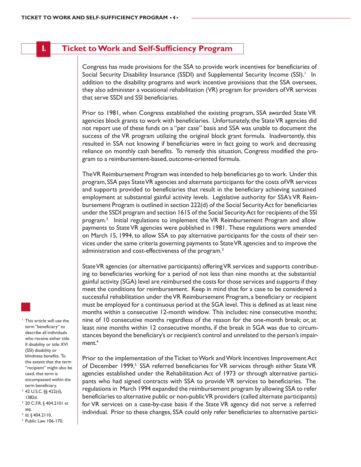# **I. Ticket to Work and Self-Sufficiency Program**

Congress has made provisions for the SSA to provide work incentives for beneficiaries of Social Security Disability Insurance (SSDI) and Supplemental Security Income (SSI).<sup>1</sup> In addition to the disability programs and work incentive provisions that the SSA oversees, they also administer a vocational rehabilitation (VR) program for providers of VR services that serve SSDI and SSI beneficiaries.

Prior to 1981, when Congress established the existing program, SSA awarded State VR agencies block grants to work with beneficiaries. Unfortunately, the State VR agencies did not report use of these funds on a "per case" basis and SSA was unable to document the success of the VR program utilizing the original block grant formula. Inadvertently, this resulted in SSA not knowing if beneficiaries were in fact going to work and decreasing reliance on monthly cash benefits. To remedy this situation, Congress modified the program to a reimbursement-based, outcome-oriented formula.

The VR Reimbursement Program was intended to help beneficiaries go to work. Under this program, SSA pays State VR agencies and alternate participants for the costs of VR services and supports provided to beneficiaries that result in the beneficiary achieving sustained employment at substantial gainful activity levels. Legislative authority for SSA's VR Reimbursement Program is outlined in section 222(d) of the Social Security Act for beneficiaries under the SSDI program and section 1615 of the Social Security Act for recipients of the SSI program.2 Initial regulations to implement the VR Reimbursement Program and allow payments to State VR agencies were published in 1981. These regulations were amended on March 15, 1994, to allow SSA to pay alternative participants for the costs of their services under the same criteria governing payments to State VR agencies and to improve the administration and cost-effectiveness of the program.<sup>3</sup>

State VR agencies (or alternative participants) offering VR services and supports contributing to beneficiaries working for a period of not less than nine months at the substantial gainful activity (SGA) level are reimbursed the costs for those services and supports if they meet the conditions for reimbursement. Keep in mind that for a case to be considered a successful rehabilitation under the VR Reimbursement Program, a beneficiary or recipient must be employed for a continuous period at the SGA level. This is defined as at least nine months within a consecutive 12-month window. This includes: nine consecutive months; nine of 10 consecutive months regardless of the reason for the one-month break; or, at least nine months within 12 consecutive months, if the break in SGA was due to circumstances beyond the beneficiary's or recipient's control and unrelated to the person's impairment.<sup>4</sup>

Prior to the implementation of the Ticket to Work and Work Incentives Improvement Act of December 1999,<sup>5</sup> SSA referred beneficiaries for VR services through either State VR agencies established under the Rehabilitation Act of 1973 or through alternative participants who had signed contracts with SSA to provide VR services to beneficiaries. The regulations in March 1994 expanded the reimbursement program by allowing SSA to refer beneficiaries to alternative public or non-public VR providers (called alternate participants) for VR services on a case-by-case basis if the State VR agency did not serve a referred individual. Prior to these changes, SSA could only refer beneficiaries to alternative partici-

<sup>1</sup> This article will use the term "beneficiary" to describe all individuals who receive either title II disability or title XVI (SSI) disability or blindness benefits. To the extent that the term "recipient" might also be used, that term is encompassed within the term beneficiary. <sup>2</sup> 42 U.S.C. §§ 422(d), 1382d.

- <sup>3</sup> 20 C.F.R. § 404.2101 *et*
- *seq*. 4 *Id*. § 404.2110. 5 Public Law 106-170.
-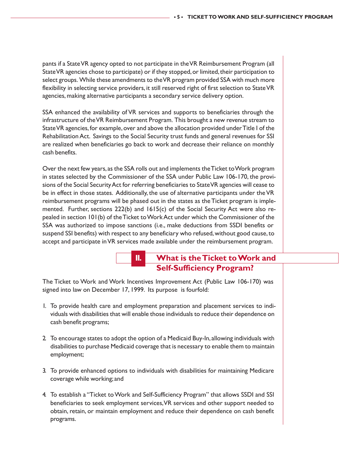pants if a State VR agency opted to not participate in the VR Reimbursement Program (all State VR agencies chose to participate) or if they stopped, or limited, their participation to select groups. While these amendments to the VR program provided SSA with much more flexibility in selecting service providers, it still reserved right of first selection to State VR agencies, making alternative participants a secondary service delivery option.

SSA enhanced the availability of VR services and supports to beneficiaries through the infrastructure of the VR Reimbursement Program. This brought a new revenue stream to State VR agencies, for example, over and above the allocation provided under Title I of the Rehabilitation Act. Savings to the Social Security trust funds and general revenues for SSI are realized when beneficiaries go back to work and decrease their reliance on monthly cash benefits.

Over the next few years, as the SSA rolls out and implements the Ticket to Work program in states selected by the Commissioner of the SSA under Public Law 106-170, the provisions of the Social Security Act for referring beneficiaries to State VR agencies will cease to be in effect in those states. Additionally, the use of alternative participants under the VR reimbursement programs will be phased out in the states as the Ticket program is implemented. Further, sections  $222(b)$  and  $1615(c)$  of the Social Security Act were also repealed in section 101(b) of the Ticket to Work Act under which the Commissioner of the SSA was authorized to impose sanctions (i.e., make deductions from SSDI benefits or suspend SSI benefits) with respect to any beneficiary who refused, without good cause, to accept and participate in VR services made available under the reimbursement program.

# **II. What is the Ticket to Work and Self-Sufficiency Program?**

The Ticket to Work and Work Incentives Improvement Act (Public Law 106-170) was signed into law on December 17, 1999. Its purpose is fourfold:

- 1. To provide health care and employment preparation and placement services to individuals with disabilities that will enable those individuals to reduce their dependence on cash benefit programs;
- 2. To encourage states to adopt the option of a Medicaid Buy-In, allowing individuals with disabilities to purchase Medicaid coverage that is necessary to enable them to maintain employment;
- 3. To provide enhanced options to individuals with disabilities for maintaining Medicare coverage while working; and
- 4. To establish a "Ticket to Work and Self-Sufficiency Program" that allows SSDI and SSI beneficiaries to seek employment services, VR services and other support needed to obtain, retain, or maintain employment and reduce their dependence on cash benefit programs.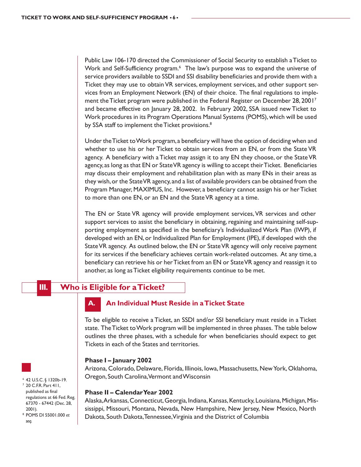Public Law 106-170 directed the Commissioner of Social Security to establish a Ticket to Work and Self-Sufficiency program.<sup>6</sup> The law's purpose was to expand the universe of service providers available to SSDI and SSI disability beneficiaries and provide them with a Ticket they may use to obtain VR services, employment services, and other support services from an Employment Network (EN) of their choice. The final regulations to implement the Ticket program were published in the Federal Register on December 28, 20017 and became effective on January 28, 2002. In February 2002, SSA issued new Ticket to Work procedures in its Program Operations Manual Systems (POMS), which will be used by SSA staff to implement the Ticket provisions.<sup>8</sup>

Under the Ticket to Work program, a beneficiary will have the option of deciding when and whether to use his or her Ticket to obtain services from an EN, or from the State VR agency. A beneficiary with a Ticket may assign it to any EN they choose, or the State VR agency, as long as that EN or State VR agency is willing to accept their Ticket. Beneficiaries may discuss their employment and rehabilitation plan with as many ENs in their areas as they wish, or the State VR agency, and a list of available providers can be obtained from the Program Manager, MAXIMUS, Inc. However, a beneficiary cannot assign his or her Ticket to more than one EN, or an EN and the State VR agency at a time.

The EN or State VR agency will provide employment services, VR services and other support services to assist the beneficiary in obtaining, regaining and maintaining self-supporting employment as specified in the beneficiary's Individualized Work Plan (IWP), if developed with an EN, or Individualized Plan for Employment (IPE), if developed with the State VR agency. As outlined below, the EN or State VR agency will only receive payment for its services if the beneficiary achieves certain work-related outcomes. At any time, a beneficiary can retrieve his or her Ticket from an EN or State VR agency and reassign it to another, as long as Ticket eligibility requirements continue to be met.

**III. Who is Eligible for a Ticket?**

### **A. An Individual Must Reside in a Ticket State**

To be eligible to receive a Ticket, an SSDI and/or SSI beneficiary must reside in a Ticket state. The Ticket to Work program will be implemented in three phases. The table below outlines the three phases, with a schedule for when beneficiaries should expect to get Tickets in each of the States and territories.

#### **Phase I – January 2002**

Arizona, Colorado, Delaware, Florida, Illinois, Iowa, Massachusetts, New York, Oklahoma, Oregon, South Carolina, Vermont and Wisconsin

#### **Phase II – Calendar Year 2002**

Alaska, Arkansas, Connecticut, Georgia, Indiana, Kansas, Kentucky, Louisiana, Michigan, Mississippi, Missouri, Montana, Nevada, New Hampshire, New Jersey, New Mexico, North Dakota, South Dakota, Tennessee, Virginia and the District of Columbia



*seq*.

<sup>6</sup> 42 U.S.C. § 1320b-19. <sup>7</sup> 20 C.F.R. Part 411, published as final regulations at 66 Fed. Reg. 67370 - 67442 (Dec. 28, 2001). <sup>8</sup> POMS DI 55001.000 *et*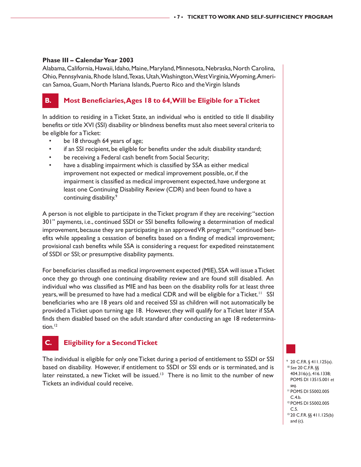#### **Phase III – Calendar Year 2003**

Alabama, California, Hawaii, Idaho, Maine, Maryland, Minnesota, Nebraska, North Carolina, Ohio, Pennsylvania, Rhode Island, Texas, Utah, Washington, West Virginia, Wyoming, American Samoa, Guam, North Mariana Islands, Puerto Rico and the Virgin Islands

# **B. Most Beneficiaries, Ages 18 to 64, Will be Eligible for a Ticket**

In addition to residing in a Ticket State, an individual who is entitled to title II disability benefits or title XVI (SSI) disability or blindness benefits must also meet several criteria to be eligible for a Ticket:

- be 18 through 64 years of age;
- if an SSI recipient, be eligible for benefits under the adult disability standard;
- be receiving a Federal cash benefit from Social Security;
- have a disabling impairment which is classified by SSA as either medical improvement not expected or medical improvement possible, or, if the impairment is classified as medical improvement expected, have undergone at least one Continuing Disability Review (CDR) and been found to have a continuing disability.9

A person is not eligible to participate in the Ticket program if they are receiving: "section 301" payments, i.e., continued SSDI or SSI benefits following a determination of medical improvement, because they are participating in an approved VR program;<sup>10</sup> continued benefits while appealing a cessation of benefits based on a finding of medical improvement; provisional cash benefits while SSA is considering a request for expedited reinstatement of SSDI or SSI; or presumptive disability payments.

For beneficiaries classified as medical improvement expected (MIE), SSA will issue a Ticket once they go through one continuing disability review and are found still disabled. An individual who was classified as MIE and has been on the disability rolls for at least three years, will be presumed to have had a medical CDR and will be eligible for a Ticket.<sup>11</sup> SSI beneficiaries who are 18 years old and received SSI as children will not automatically be provided a Ticket upon turning age 18. However, they will qualify for a Ticket later if SSA finds them disabled based on the adult standard after conducting an age 18 redetermination.<sup>12</sup>

# **C. Eligibility for a Second Ticket**

The individual is eligible for only one Ticket during a period of entitlement to SSDI or SSI based on disability. However, if entitlement to SSDI or SSI ends or is terminated, and is later reinstated, a new Ticket will be issued.<sup>13</sup> There is no limit to the number of new Tickets an individual could receive.

<sup>9</sup> 20 C.F.R. § 411.125(a). <sup>10</sup> *See* 20 C.F.R. §§ 404.316(c), 416.1338; POMS DI 13515.001 *et seq*. 11 POMS DI 55002.005 C.4.b. <sup>12</sup> POMS DI 55002.005

13 20 C.F.R. §§ 411.125(b)

C.5.

and  $(c)$ .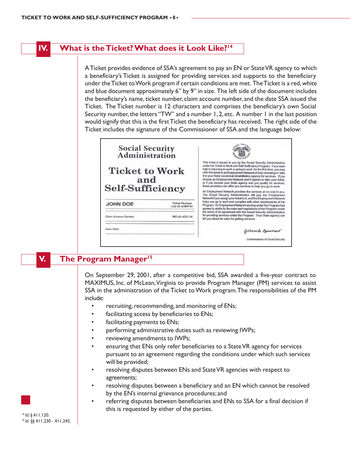#### **IV. What is the Ticket? What does it Look Like?14**

A Ticket provides evidence of SSA's agreement to pay an EN or State VR agency to which a beneficiary's Ticket is assigned for providing services and supports to the beneficiary under the Ticket to Work program if certain conditions are met. The Ticket is a red, white and blue document approximately 6" by 9" in size. The left side of the document includes the beneficiary's name, ticket number, claim account number, and the date SSA issued the Ticket. The Ticket number is 12 characters and comprises the beneficiary's own Social Security number, the letters "TW" and a number 1, 2, etc. A number 1 in the last position would signify that this is the first Ticket the beneficiary has received. The right side of the Ticket includes the signature of the Commissioner of SSA and the language below:



# **V. The Program Manager15**

On September 29, 2001, after a competitive bid, SSA awarded a five-year contract to MAXIMUS, Inc. of McLean, Virginia to provide Program Manager (PM) services to assist SSA in the administration of the Ticket to Work program. The responsibilities of the PM include:

- recruiting, recommending, and monitoring of ENs;
- facilitating access by beneficiaries to ENs;
- facilitating payments to ENs;
- performing administrative duties such as reviewing IWPs;
- reviewing amendments to IWPs;
- ensuring that ENs only refer beneficiaries to a State VR agency for services pursuant to an agreement regarding the conditions under which such services will be provided;
- resolving disputes between ENs and State VR agencies with respect to agreements;
- resolving disputes between a beneficiary and an EN which cannot be resolved by the EN's internal grievance procedures; and
- referring disputes between beneficiaries and ENs to SSA for a final decision if this is requested by either of the parties.

<sup>14</sup> *Id*. § 411.120. 15 *Id*. §§ 411.230 - 411.245.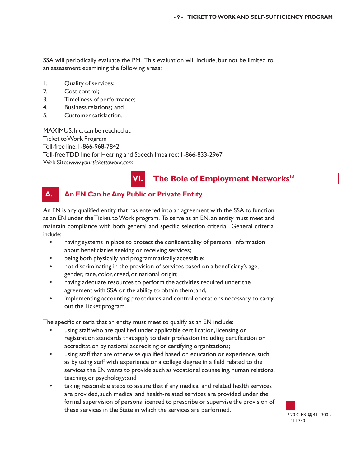SSA will periodically evaluate the PM. This evaluation will include, but not be limited to, an assessment examining the following areas:

- 1. Quality of services;
- 2. Cost control;
- 3. Timeliness of performance;
- 4. Business relations; and
- 5. Customer satisfaction.

MAXIMUS, Inc. can be reached at: Ticket to Work Program Toll-free line: 1-866-968-7842 Toll-free TDD line for Hearing and Speech Impaired: 1-866-833-2967 Web Site: *www.yourtickettowork.com*

# **VI.** The Role of Employment Networks<sup>16</sup>

# **A. An EN Can be Any Public or Private Entity**

An EN is any qualified entity that has entered into an agreement with the SSA to function as an EN under the Ticket to Work program. To serve as an EN, an entity must meet and maintain compliance with both general and specific selection criteria. General criteria include:

- having systems in place to protect the confidentiality of personal information about beneficiaries seeking or receiving services;
- being both physically and programmatically accessible;
- not discriminating in the provision of services based on a beneficiary's age, gender, race, color, creed, or national origin;
- having adequate resources to perform the activities required under the agreement with SSA or the ability to obtain them; and,
- implementing accounting procedures and control operations necessary to carry out the Ticket program.

The specific criteria that an entity must meet to qualify as an EN include:

- using staff who are qualified under applicable certification, licensing or registration standards that apply to their profession including certification or accreditation by national accrediting or certifying organizations;
- using staff that are otherwise qualified based on education or experience, such as by using staff with experience or a college degree in a field related to the services the EN wants to provide such as vocational counseling, human relations, teaching, or psychology; and
- taking reasonable steps to assure that if any medical and related health services are provided, such medical and health-related services are provided under the formal supervision of persons licensed to prescribe or supervise the provision of these services in the State in which the services are performed.

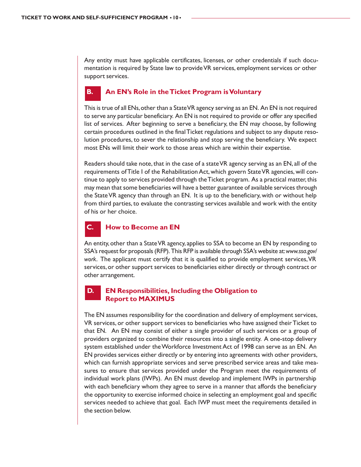Any entity must have applicable certificates, licenses, or other credentials if such documentation is required by State law to provide VR services, employment services or other support services.

### **B. An EN's Role in the Ticket Program is Voluntary**

This is true of all ENs, other than a State VR agency serving as an EN. An EN is not required to serve any particular beneficiary. An EN is not required to provide or offer any specified list of services. After beginning to serve a beneficiary, the EN may choose, by following certain procedures outlined in the final Ticket regulations and subject to any dispute resolution procedures, to sever the relationship and stop serving the beneficiary. We expect most ENs will limit their work to those areas which are within their expertise.

Readers should take note, that in the case of a state VR agency serving as an EN, all of the requirements of Title I of the Rehabilitation Act, which govern State VR agencies, will continue to apply to services provided through the Ticket program. As a practical matter, this may mean that some beneficiaries will have a better guarantee of available services through the State VR agency than through an EN. It is up to the beneficiary, with or without help from third parties, to evaluate the contrasting services available and work with the entity of his or her choice.

# **C. How to Become an EN**

An entity, other than a State VR agency, applies to SSA to become an EN by responding to SSA's request for proposals (RFP). This RFP is available through SSA's website at: *www.ssa.gov/ work*. The applicant must certify that it is qualified to provide employment services, VR services, or other support services to beneficiaries either directly or through contract or other arrangement.

#### **D. EN Responsibilities, Including the Obligation to Report to MAXIMUS**

The EN assumes responsibility for the coordination and delivery of employment services, VR services, or other support services to beneficiaries who have assigned their Ticket to that EN. An EN may consist of either a single provider of such services or a group of providers organized to combine their resources into a single entity. A one-stop delivery system established under the Workforce Investment Act of 1998 can serve as an EN. An EN provides services either directly or by entering into agreements with other providers, which can furnish appropriate services and serve prescribed service areas and take measures to ensure that services provided under the Program meet the requirements of individual work plans (IWPs). An EN must develop and implement IWPs in partnership with each beneficiary whom they agree to serve in a manner that affords the beneficiary the opportunity to exercise informed choice in selecting an employment goal and specific services needed to achieve that goal. Each IWP must meet the requirements detailed in the section below.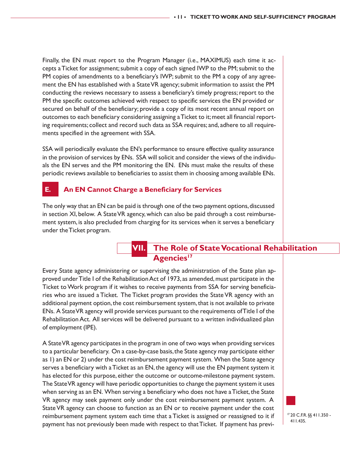Finally, the EN must report to the Program Manager (i.e., MAXIMUS) each time it accepts a Ticket for assignment; submit a copy of each signed IWP to the PM; submit to the PM copies of amendments to a beneficiary's IWP; submit to the PM a copy of any agreement the EN has established with a State VR agency; submit information to assist the PM conducting the reviews necessary to assess a beneficiary's timely progress; report to the PM the specific outcomes achieved with respect to specific services the EN provided or secured on behalf of the beneficiary; provide a copy of its most recent annual report on outcomes to each beneficiary considering assigning a Ticket to it; meet all financial reporting requirements; collect and record such data as SSA requires; and, adhere to all requirements specified in the agreement with SSA.

SSA will periodically evaluate the EN's performance to ensure effective quality assurance in the provision of services by ENs. SSA will solicit and consider the views of the individuals the EN serves and the PM monitoring the EN. ENs must make the results of these periodic reviews available to beneficiaries to assist them in choosing among available ENs.

# **E. An EN Cannot Charge a Beneficiary for Services**

The only way that an EN can be paid is through one of the two payment options, discussed in section XI, below. A State VR agency, which can also be paid through a cost reimbursement system, is also precluded from charging for its services when it serves a beneficiary under the Ticket program.

# **VII. The Role of State Vocational Rehabilitation** Agencies<sup>17</sup>

Every State agency administering or supervising the administration of the State plan approved under Title I of the Rehabilitation Act of 1973, as amended, must participate in the Ticket to Work program if it wishes to receive payments from SSA for serving beneficiaries who are issued a Ticket. The Ticket program provides the State VR agency with an additional payment option, the cost reimbursement system, that is not available to private ENs. A State VR agency will provide services pursuant to the requirements of Title I of the Rehabilitation Act. All services will be delivered pursuant to a written individualized plan of employment (IPE).

A State VR agency participates in the program in one of two ways when providing services to a particular beneficiary. On a case-by-case basis, the State agency may participate either as 1) an EN or 2) under the cost reimbursement payment system. When the State agency serves a beneficiary with a Ticket as an EN, the agency will use the EN payment system it has elected for this purpose, either the outcome or outcome-milestone payment system. The State VR agency will have periodic opportunities to change the payment system it uses when serving as an EN. When serving a beneficiary who does not have a Ticket, the State VR agency may seek payment only under the cost reimbursement payment system. A State VR agency can choose to function as an EN or to receive payment under the cost reimbursement payment system each time that a Ticket is assigned or reassigned to it if payment has not previously been made with respect to that Ticket. If payment has previ-



17 20 C.F.R. §§ 411.350 - 411.435.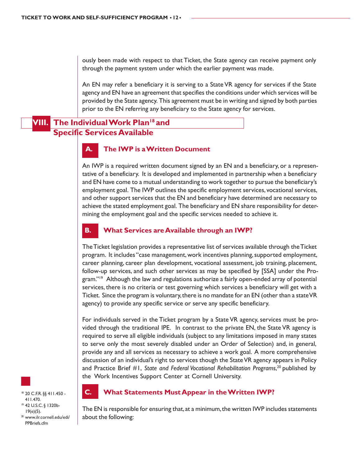ously been made with respect to that Ticket, the State agency can receive payment only through the payment system under which the earlier payment was made.

An EN may refer a beneficiary it is serving to a State VR agency for services if the State agency and EN have an agreement that specifies the conditions under which services will be provided by the State agency. This agreement must be in writing and signed by both parties prior to the EN referring any beneficiary to the State agency for services.

# **The Individual Work Plan<sup>18</sup> and Specific Services Available**

# **A. The IWP is a Written Document**

An IWP is a required written document signed by an EN and a beneficiary, or a representative of a beneficiary. It is developed and implemented in partnership when a beneficiary and EN have come to a mutual understanding to work together to pursue the beneficiary's employment goal. The IWP outlines the specific employment services, vocational services, and other support services that the EN and beneficiary have determined are necessary to achieve the stated employment goal. The beneficiary and EN share responsibility for determining the employment goal and the specific services needed to achieve it.

#### **B. What Services are Available through an IWP?**

The Ticket legislation provides a representative list of services available through the Ticket program. It includes "case management, work incentives planning, supported employment, career planning, career plan development, vocational assessment, job training, placement, follow-up services, and such other services as may be specified by [SSA] under the Program."19 Although the law and regulations authorize a fairly open-ended array of potential services, there is no criteria or test governing which services a beneficiary will get with a Ticket. Since the program is voluntary, there is no mandate for an EN (other than a state VR agency) to provide any specific service or serve any specific beneficiary.

For individuals served in the Ticket program by a State VR agency, services must be provided through the traditional IPE.In contrast to the private EN, the State VR agency is required to serve all eligible individuals (subject to any limitations imposed in many states to serve only the most severely disabled under an Order of Selection) and, in general, provide any and all services as necessary to achieve a work goal. A more comprehensive discussion of an individual's right to services though the State VR agency appears in Policy and Practice Brief #1, *State and Federal Vocational Rehabilitation Programs*, 20 published by the Work Incentives Support Center at Cornell University.



<sup>18</sup> 20 C.F.R. §§ 411.450 - 411.470. <sup>19</sup> 42 U.S.C. § 1320b-19(e)(5). <sup>20</sup> www.ilr.cornell.edu/edi/ PPBriefs.cfm



#### **C. What Statements Must Appear in the Written IWP?**

The EN is responsible for ensuring that, at a minimum, the written IWP includes statements about the following: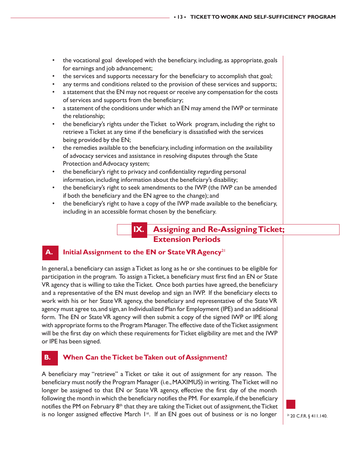- the vocational goal developed with the beneficiary, including, as appropriate, goals for earnings and job advancement;
- the services and supports necessary for the beneficiary to accomplish that goal;
- any terms and conditions related to the provision of these services and supports;
- a statement that the EN may not request or receive any compensation for the costs of services and supports from the beneficiary;
- a statement of the conditions under which an EN may amend the IWP or terminate the relationship;
- the beneficiary's rights under the Ticket to Work program, including the right to retrieve a Ticket at any time if the beneficiary is dissatisfied with the services being provided by the EN;
- the remedies available to the beneficiary, including information on the availability of advocacy services and assistance in resolving disputes through the State Protection and Advocacy system;
- the beneficiary's right to privacy and confidentiality regarding personal information, including information about the beneficiary's disability;
- the beneficiary's right to seek amendments to the IWP (the IWP can be amended if both the beneficiary and the EN agree to the change); and
- the beneficiary's right to have a copy of the IWP made available to the beneficiary, including in an accessible format chosen by the beneficiary.

# **IX. Assigning and Re-Assigning Ticket; Extension Periods**

### **A. Initial Assignment to the EN or State VR Agency**<sup>21</sup>

In general, a beneficiary can assign a Ticket as long as he or she continues to be eligible for participation in the program. To assign a Ticket, a beneficiary must first find an EN or State VR agency that is willing to take the Ticket. Once both parties have agreed, the beneficiary and a representative of the EN must develop and sign an IWP. If the beneficiary elects to work with his or her State VR agency, the beneficiary and representative of the State VR agency must agree to, and sign, an Individualized Plan for Employment (IPE) and an additional form. The EN or State VR agency will then submit a copy of the signed IWP or IPE along with appropriate forms to the Program Manager. The effective date of the Ticket assignment will be the first day on which these requirements for Ticket eligibility are met and the IWP or IPE has been signed.

### **B. When Can the Ticket be Taken out of Assignment?**

A beneficiary may "retrieve" a Ticket or take it out of assignment for any reason. The beneficiary must notify the Program Manager (i.e., MAXIMUS) in writing. The Ticket will no longer be assigned to that EN or State VR agency, effective the first day of the month following the month in which the beneficiary notifies the PM. For example, if the beneficiary notifies the PM on February  $8<sup>th</sup>$  that they are taking the Ticket out of assignment, the Ticket is no longer assigned effective March 1<sup>st</sup>. If an EN goes out of business or is no longer

21 20 C.F.R. § 411.140.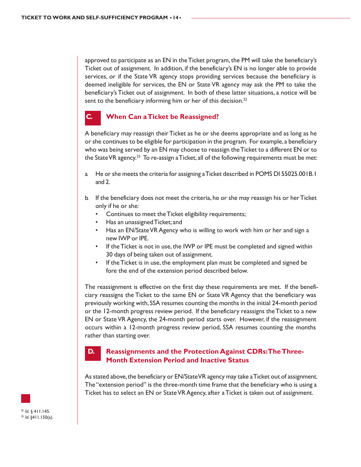approved to participate as an EN in the Ticket program, the PM will take the beneficiary's Ticket out of assignment. In addition, if the beneficiary's EN is no longer able to provide services, or if the State VR agency stops providing services because the beneficiary is deemed ineligible for services, the EN or State VR agency may ask the PM to take the beneficiary's Ticket out of assignment. In both of these latter situations, a notice will be sent to the beneficiary informing him or her of this decision.<sup>22</sup>

# **When Can a Ticket be Reassigned?**

A beneficiary may reassign their Ticket as he or she deems appropriate and as long as he or she continues to be eligible for participation in the program. For example, a beneficiary who was being served by an EN may choose to reassign the Ticket to a different EN or to the State VR agency.<sup>23</sup> To re-assign a Ticket, all of the following requirements must be met:

- a. He or she meets the criteria for assigning a Ticket described in POMS DI 55025.001B.1 and 2.
- b. If the beneficiary does not meet the criteria, he or she may reassign his or her Ticket only if he or she:
	- Continues to meet the Ticket eligibility requirements;
	- Has an unassigned Ticket; and
	- Has an EN/State VR Agency who is willing to work with him or her and sign a new IWP or IPE.
	- If the Ticket is not in use, the IWP or IPE must be completed and signed within 30 days of being taken out of assignment.
	- If the Ticket is in use, the employment plan must be completed and signed be fore the end of the extension period described below.

The reassignment is effective on the first day these requirements are met. If the beneficiary reassigns the Ticket to the same EN or State VR Agency that the beneficiary was previously working with, SSA resumes counting the months in the initial 24-month period or the 12-month progress review period. If the beneficiary reassigns the Ticket to a new EN or State VR Agency, the 24-month period starts over. However, if the reassignment occurs within a 12-month progress review period, SSA resumes counting the months rather than starting over.

# **D. Reassignments and the Protection Against CDRs: The Three-Month Extension Period and Inactive Status**

As stated above, the beneficiary or EN/State VR agency may take a Ticket out of assignment. The "extension period" is the three-month time frame that the beneficiary who is using a Ticket has to select an EN or State VR Agency, after a Ticket is taken out of assignment.

 $\frac{2}{3}$  *Id.* § 411.145.<br> $\frac{23}{3}$  *Id.* §411.150(a).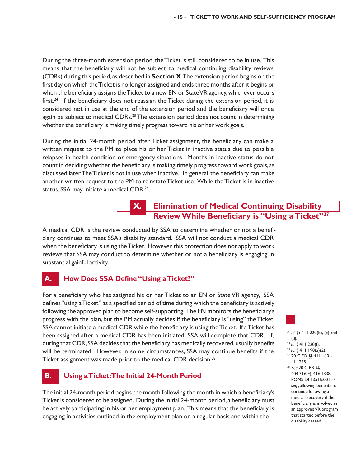During the three-month extension period, the Ticket is still considered to be in use. This means that the beneficiary will not be subject to medical continuing disability reviews (CDRs) during this period, as described in **Section X**. The extension period begins on the first day on which the Ticket is no longer assigned and ends three months after it begins or when the beneficiary assigns the Ticket to a new EN or State VR agency, whichever occurs first.<sup>24</sup> If the beneficiary does not reassign the Ticket during the extension period, it is considered not in use at the end of the extension period and the beneficiary will once again be subject to medical CDRs.<sup>25</sup> The extension period does not count in determining whether the beneficiary is making timely progress toward his or her work goals.

During the initial 24-month period after Ticket assignment, the beneficiary can make a written request to the PM to place his or her Ticket in inactive status due to possible relapses in health condition or emergency situations. Months in inactive status do not count in deciding whether the beneficiary is making timely progress toward work goals, as discussed later. The Ticket is not in use when inactive. In general, the beneficiary can make another written request to the PM to reinstate Ticket use. While the Ticket is in inactive status, SSA may initiate a medical CDR.<sup>26</sup>

# **X. Elimination of Medical Continuing Disability Review While Beneficiary is "Using a Ticket"27**

A medical CDR is the review conducted by SSA to determine whether or not a beneficiary continues to meet SSA's disability standard. SSA will not conduct a medical CDR when the beneficiary is using the Ticket. However, this protection does not apply to work reviews that SSA may conduct to determine whether or not a beneficiary is engaging in substantial gainful activity.

# **A. How Does SSA Define "Using a Ticket?"**

For a beneficiary who has assigned his or her Ticket to an EN or State VR agency, SSA defines "using a Ticket" as a specified period of time during which the beneficiary is actively following the approved plan to become self-supporting. The EN monitors the beneficiary's progress with the plan, but the PM actually decides if the beneficiary is "using" the Ticket. SSA cannot initiate a medical CDR while the beneficiary is using the Ticket. If a Ticket has been assigned after a medical CDR has been initiated, SSA will complete that CDR. If, during that CDR, SSA decides that the beneficiary has medically recovered, usually benefits will be terminated. However, in some circumstances, SSA may continue benefits if the Ticket assignment was made prior to the medical CDR decision.<sup>28</sup>

# **B. Using a Ticket: The Initial 24-Month Period**

The initial 24-month period begins the month following the month in which a beneficiary's Ticket is considered to be assigned. During the initial 24-month period, a beneficiary must be actively participating in his or her employment plan. This means that the beneficiary is engaging in activities outlined in the employment plan on a regular basis and within the

- <sup>24</sup> *Id*. §§ 411.220(b), (c) and (d).
- 
- <sup>25</sup> *Id*. § 411.220(f).<br><sup>26</sup> *Id*. § 411.190(a)(2).<br><sup>27</sup> 20 C.F.R. §§ 411.160 -
- 411.225.
- <sup>28</sup> *See* 20 C.F.R. §§
- 404.316(c), 416.1338; POMS DI 13515.001 *et seq*., allowing benefits to continue following a medical recovery if the beneficiary is involved in an approved VR program that started before the disability ceased.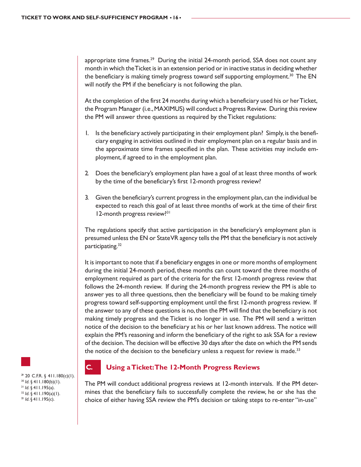appropriate time frames.<sup>29</sup> During the initial 24-month period, SSA does not count any month in which the Ticket is in an extension period or in inactive status in deciding whether the beneficiary is making timely progress toward self supporting employment.<sup>30</sup> The EN will notify the PM if the beneficiary is not following the plan.

At the completion of the first 24 months during which a beneficiary used his or her Ticket, the Program Manager (i.e., MAXIMUS) will conduct a Progress Review. During this review the PM will answer three questions as required by the Ticket regulations:

- 1. Is the beneficiary actively participating in their employment plan? Simply, is the beneficiary engaging in activities outlined in their employment plan on a regular basis and in the approximate time frames specified in the plan. These activities may include employment, if agreed to in the employment plan.
- 2. Does the beneficiary's employment plan have a goal of at least three months of work by the time of the beneficiary's first 12-month progress review?
- 3. Given the beneficiary's current progress in the employment plan, can the individual be expected to reach this goal of at least three months of work at the time of their first 12-month progress review?<sup>31</sup>

The regulations specify that active participation in the beneficiary's employment plan is presumed unless the EN or State VR agency tells the PM that the beneficiary is not actively participating.<sup>32</sup>

It is important to note that if a beneficiary engages in one or more months of employment during the initial 24-month period, these months can count toward the three months of employment required as part of the criteria for the first 12-month progress review that follows the 24-month review. If during the 24-month progress review the PM is able to answer yes to all three questions, then the beneficiary will be found to be making timely progress toward self-supporting employment until the first 12-month progress review. If the answer to any of these questions is no, then the PM will find that the beneficiary is not making timely progress and the Ticket is no longer in use. The PM will send a written notice of the decision to the beneficiary at his or her last known address. The notice will explain the PM's reasoning and inform the beneficiary of the right to ask SSA for a review of the decision. The decision will be effective 30 days after the date on which the PM sends the notice of the decision to the beneficiary unless a request for review is made. $33$ 

 $29$  20 C.F.R. § 411.180(c)(1). <sup>30</sup> *Id*. § 411.180(b)(1). 31 *Id*. § 411.195(a). 32 *Id*. § 411.190(a)(1). 33 *Id*. § 411.195(c).

### **C. Using a Ticket: The 12-Month Progress Reviews**

The PM will conduct additional progress reviews at 12-month intervals. If the PM determines that the beneficiary fails to successfully complete the review, he or she has the choice of either having SSA review the PM's decision or taking steps to re-enter "in-use"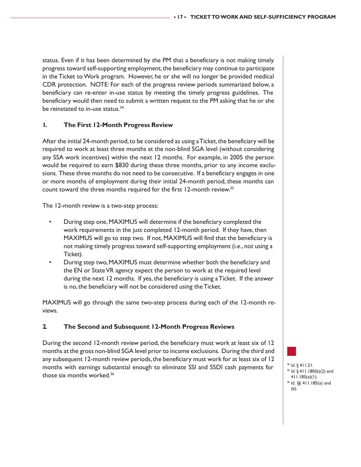status. Even if it has been determined by the PM that a beneficiary is not making timely progress toward self-supporting employment, the beneficiary may continue to participate in the Ticket to Work program. However, he or she will no longer be provided medical CDR protection. NOTE: For each of the progress review periods summarized below, a beneficiary can re-enter in-use status by meeting the timely progress guidelines. The beneficiary would then need to submit a written request to the PM asking that he or she be reinstated to in-use status.<sup>34</sup>

#### **1. The First 12-Month Progress Review**

After the initial 24-month period, to be considered as using a Ticket, the beneficiary will be required to work at least three months at the non-blind SGA level (without considering any SSA work incentives) within the next 12 months. For example, in 2005 the person would be required to earn \$830 during these three months, prior to any income exclusions. These three months do not need to be consecutive. If a beneficiary engages in one or more months of employment during their initial 24-month period, these months can count toward the three months required for the first 12-month review.35

The 12-month review is a two-step process:

- During step one, MAXIMUS will determine if the beneficiary completed the work requirements in the just completed 12-month period. If they have, then MAXIMUS will go to step two. If not, MAXIMUS will find that the beneficiary is not making timely progress toward self-supporting employment (i.e., not using a Ticket).
- During step two, MAXIMUS must determine whether both the beneficiary and the EN or State VR agency expect the person to work at the required level during the next 12 months. If yes, the beneficiary is using a Ticket. If the answer is no, the beneficiary will not be considered using the Ticket.

MAXIMUS will go through the same two-step process during each of the 12-month reviews.

#### **2. The Second and Subsequent 12-Month Progress Reviews**

During the second 12-month review period, the beneficiary must work at least six of 12 months at the gross non-blind SGA level prior to income exclusions. During the third and any subsequent 12-month review periods, the beneficiary must work for at least six of 12 months with earnings substantial enough to eliminate SSI and SSDI cash payments for those six months worked.36

<sup>34</sup> *Id*. § 411.21. 35 *Id*. § 411.180(b)(2) and 411.185(a)(1). <sup>36</sup> *Id*. §§ 411.185(a) and (b).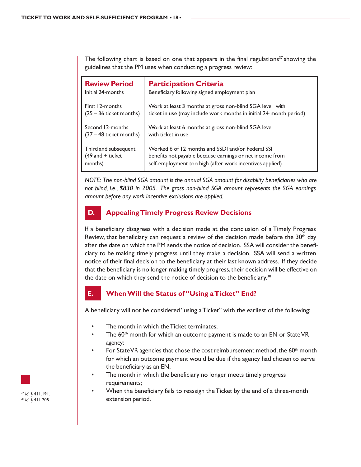The following chart is based on one that appears in the final regulations<sup>37</sup> showing the guidelines that the PM uses when conducting a progress review:

| <b>Review Period</b>      | <b>Participation Criteria</b>                                      |
|---------------------------|--------------------------------------------------------------------|
| Initial 24-months         | Beneficiary following signed employment plan                       |
| First 12-months           | Work at least 3 months at gross non-blind SGA level with           |
| $(25 – 36$ ticket months) | ticket in use (may include work months in initial 24-month period) |
| Second 12-months          | Work at least 6 months at gross non-blind SGA level                |
| $(37 - 48$ ticket months) | with ticket in use                                                 |
| Third and subsequent      | Worked 6 of 12 months and SSDI and/or Federal SSI                  |
| $(49$ and + ticket        | benefits not payable because earnings or net income from           |
| months)                   | self-employment too high (after work incentives applied)           |

*NOTE: The non-blind SGA amount is the annual SGA amount for disability beneficiaries who are not blind, i.e., \$830 in 2005. The gross non-blind SGA amount represents the SGA earnings amount before any work incentive exclusions are applied.*

# **D. Appealing Timely Progress Review Decisions**

If a beneficiary disagrees with a decision made at the conclusion of a Timely Progress Review, that beneficiary can request a review of the decision made before the  $30<sup>th</sup>$  day after the date on which the PM sends the notice of decision. SSA will consider the beneficiary to be making timely progress until they make a decision. SSA will send a written notice of their final decision to the beneficiary at their last known address. If they decide that the beneficiary is no longer making timely progress, their decision will be effective on the date on which they send the notice of decision to the beneficiary.<sup>38</sup>

### **E. When Will the Status of "Using a Ticket" End?**

A beneficiary will not be considered "using a Ticket" with the earliest of the following:

- The month in which the Ticket terminates;
- The  $60<sup>th</sup>$  month for which an outcome payment is made to an EN or State VR agency;
- For State VR agencies that chose the cost reimbursement method, the 60<sup>th</sup> month for which an outcome payment would be due if the agency had chosen to serve the beneficiary as an EN;
- The month in which the beneficiary no longer meets timely progress requirements;
- When the beneficiary fails to reassign the Ticket by the end of a three-month extension period.



<sup>37</sup> *Id*. § 411.191. 38 *Id*. § 411.205.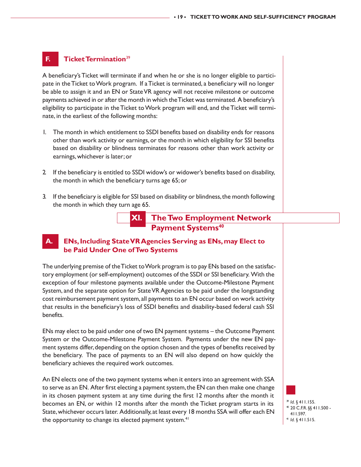### **F. Ticket Termination**<sup>39</sup>

A beneficiary's Ticket will terminate if and when he or she is no longer eligible to participate in the Ticket to Work program. If a Ticket is terminated, a beneficiary will no longer be able to assign it and an EN or State VR agency will not receive milestone or outcome payments achieved in or after the month in which the Ticket was terminated. A beneficiary's eligibility to participate in the Ticket to Work program will end, and the Ticket will terminate, in the earliest of the following months:

- 1. The month in which entitlement to SSDI benefits based on disability ends for reasons other than work activity or earnings, or the month in which eligibility for SSI benefits based on disability or blindness terminates for reasons other than work activity or earnings, whichever is later; or
- 2. If the beneficiary is entitled to SSDI widow's or widower's benefits based on disability, the month in which the beneficiary turns age 65; or
- 3. If the beneficiary is eligible for SSI based on disability or blindness, the month following the month in which they turn age 65.



#### **A. ENs, Including State VR Agencies Serving as ENs, may Elect to be Paid Under One of Two Systems**

The underlying premise of the Ticket to Work program is to pay ENs based on the satisfactory employment (or self-employment) outcomes of the SSDI or SSI beneficiary. With the exception of four milestone payments available under the Outcome-Milestone Payment System, and the separate option for State VR Agencies to be paid under the longstanding cost reimbursement payment system, all payments to an EN occur based on work activity that results in the beneficiary's loss of SSDI benefits and disability-based federal cash SSI benefits.

ENs may elect to be paid under one of two EN payment systems – the Outcome Payment System or the Outcome-Milestone Payment System. Payments under the new EN payment systems differ, depending on the option chosen and the types of benefits received by the beneficiary. The pace of payments to an EN will also depend on how quickly the beneficiary achieves the required work outcomes.

An EN elects one of the two payment systems when it enters into an agreement with SSA to serve as an EN. After first electing a payment system, the EN can then make one change in its chosen payment system at any time during the first 12 months after the month it becomes an EN, or within 12 months after the month the Ticket program starts in its State, whichever occurs later. Additionally, at least every 18 months SSA will offer each EN the opportunity to change its elected payment system.<sup>41</sup>

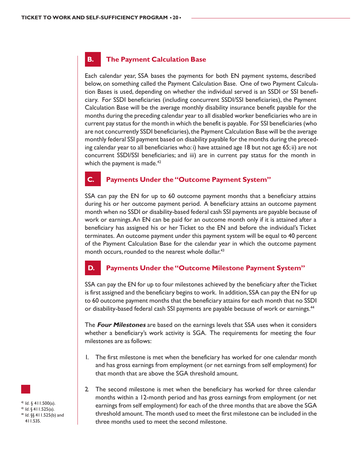# **B. The Payment Calculation Base**

Each calendar year, SSA bases the payments for both EN payment systems, described below, on something called the Payment Calculation Base. One of two Payment Calculation Bases is used, depending on whether the individual served is an SSDI or SSI beneficiary. For SSDI beneficiaries (including concurrent SSDI/SSI beneficiaries), the Payment Calculation Base will be the average monthly disability insurance benefit payable for the months during the preceding calendar year to all disabled worker beneficiaries who are in current pay status for the month in which the benefit is payable. For SSI beneficiaries (who are not concurrently SSDI beneficiaries), the Payment Calculation Base will be the average monthly federal SSI payment based on disability payable for the months during the preceding calendar year to all beneficiaries who: i) have attained age 18 but not age 65; ii) are not concurrent SSDI/SSI beneficiaries; and iii) are in current pay status for the month in which the payment is made.<sup>42</sup>

### **C. Payments Under the "Outcome Payment System"**

SSA can pay the EN for up to 60 outcome payment months that a beneficiary attains during his or her outcome payment period. A beneficiary attains an outcome payment month when no SSDI or disability-based federal cash SSI payments are payable because of work or earnings. An EN can be paid for an outcome month only if it is attained after a beneficiary has assigned his or her Ticket to the EN and before the individual's Ticket terminates. An outcome payment under this payment system will be equal to 40 percent of the Payment Calculation Base for the calendar year in which the outcome payment month occurs, rounded to the nearest whole dollar.<sup>43</sup>

### **D. Payments Under the "Outcome Milestone Payment System"**

SSA can pay the EN for up to four milestones achieved by the beneficiary after the Ticket is first assigned and the beneficiary begins to work. In addition, SSA can pay the EN for up to 60 outcome payment months that the beneficiary attains for each month that no SSDI or disability-based federal cash SSI payments are payable because of work or earnings.<sup>44</sup>

The **Four Milestones** are based on the earnings levels that SSA uses when it considers whether a beneficiary's work activity is SGA. The requirements for meeting the four milestones are as follows:

- 1. The first milestone is met when the beneficiary has worked for one calendar month and has gross earnings from employment (or net earnings from self employment) for that month that are above the SGA threshold amount.
- 2. The second milestone is met when the beneficiary has worked for three calendar months within a 12-month period and has gross earnings from employment (or net earnings from self employment) for each of the three months that are above the SGA threshold amount. The month used to meet the first milestone can be included in the three months used to meet the second milestone.

<sup>42</sup> *Id*. § 411.500(a). 43 *Id*. § 411.525(a). 44 *Id*. §§ 411.525(b) and 411.535.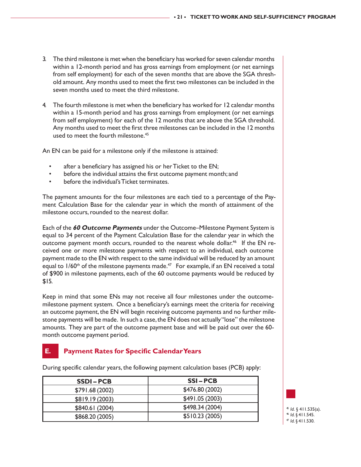- 3. The third milestone is met when the beneficiary has worked for seven calendar months within a 12-month period and has gross earnings from employment (or net earnings from self employment) for each of the seven months that are above the SGA threshold amount. Any months used to meet the first two milestones can be included in the seven months used to meet the third milestone.
- 4. The fourth milestone is met when the beneficiary has worked for 12 calendar months within a 15-month period and has gross earnings from employment (or net earnings from self employment) for each of the 12 months that are above the SGA threshold. Any months used to meet the first three milestones can be included in the 12 months used to meet the fourth milestone.<sup>45</sup>

An EN can be paid for a milestone only if the milestone is attained:

- after a beneficiary has assigned his or her Ticket to the EN;
- before the individual attains the first outcome payment month; and
- before the individual's Ticket terminates.

The payment amounts for the four milestones are each tied to a percentage of the Payment Calculation Base for the calendar year in which the month of attainment of the milestone occurs, rounded to the nearest dollar.

Each of the **60 Outcome Payments** under the Outcome–Milestone Payment System is equal to 34 percent of the Payment Calculation Base for the calendar year in which the outcome payment month occurs, rounded to the nearest whole dollar.<sup>46</sup> If the EN received one or more milestone payments with respect to an individual, each outcome payment made to the EN with respect to the same individual will be reduced by an amount equal to  $1/60$ <sup>th</sup> of the milestone payments made.<sup>47</sup> For example, if an EN received a total of \$900 in milestone payments, each of the 60 outcome payments would be reduced by \$15.

Keep in mind that some ENs may not receive all four milestones under the outcomemilestone payment system. Once a beneficiary's earnings meet the criteria for receiving an outcome payment, the EN will begin receiving outcome payments and no further milestone payments will be made. In such a case, the EN does not actually "lose" the milestone amounts. They are part of the outcome payment base and will be paid out over the 60 month outcome payment period.

# **E. Payment Rates for Specific Calendar Years**

| <b>SSDI-PCB</b> | <b>SSI-PCB</b>  |
|-----------------|-----------------|
| \$791.68(2002)  | \$476.80 (2002) |
| \$819.19(2003)  | \$491.05(2003)  |
| \$840.61 (2004) | \$498.34 (2004) |
| \$868.20 (2005) | \$510.23(2005)  |

During specific calendar years, the following payment calculation bases (PCB) apply:

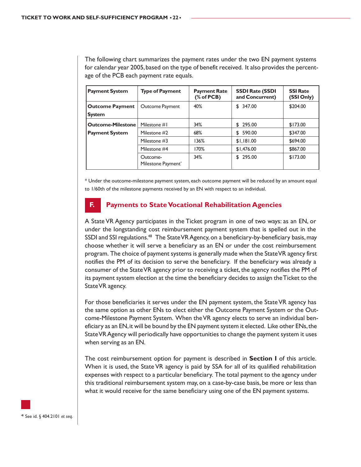The following chart summarizes the payment rates under the two EN payment systems for calendar year 2005, based on the type of benefit received. It also provides the percentage of the PCB each payment rate equals.

| <b>Payment System</b>                   | <b>Type of Payment</b>         | <b>Payment Rate</b><br>% of PCB) | <b>SSDI Rate (SSDI</b><br>and Concurrent) | <b>SSI Rate</b><br>(SSI Only) |
|-----------------------------------------|--------------------------------|----------------------------------|-------------------------------------------|-------------------------------|
| <b>Outcome Payment</b><br><b>System</b> | Outcome Payment                | 40%                              | \$347.00                                  | \$204.00                      |
| <b>Outcome-Milestone</b>                | Milestone #1                   | 34%                              | \$295.00                                  | \$173.00                      |
| <b>Payment System</b>                   | Milestone #2                   | 68%                              | 590.00<br>S                               | \$347.00                      |
|                                         | Milestone #3                   | 136%                             | \$1,181.00                                | \$694.00                      |
|                                         | Milestone #4                   | 170%                             | \$1,476.00                                | \$867.00                      |
|                                         | Outcome-<br>Milestone Payment* | 34%                              | \$295.00                                  | \$173.00                      |

\* Under the outcome-milestone payment system, each outcome payment will be reduced by an amount equal to 1/60th of the milestone payments received by an EN with respect to an individual.

#### **F. Payments to State Vocational Rehabilitation Agencies**

A State VR Agency participates in the Ticket program in one of two ways: as an EN, or under the longstanding cost reimbursement payment system that is spelled out in the SSDI and SSI regulations.<sup>48</sup> The State VR Agency, on a beneficiary-by-beneficiary basis, may choose whether it will serve a beneficiary as an EN or under the cost reimbursement program. The choice of payment systems is generally made when the State VR agency first notifies the PM of its decision to serve the beneficiary. If the beneficiary was already a consumer of the State VR agency prior to receiving a ticket, the agency notifies the PM of its payment system election at the time the beneficiary decides to assign the Ticket to the State VR agency.

For those beneficiaries it serves under the EN payment system, the State VR agency has the same option as other ENs to elect either the Outcome Payment System or the Outcome-Milestone Payment System. When the VR agency elects to serve an individual beneficiary as an EN, it will be bound by the EN payment system it elected. Like other ENs, the State VR Agency will periodically have opportunities to change the payment system it uses when serving as an EN.

The cost reimbursement option for payment is described in **Section I** of this article. When it is used, the State VR agency is paid by SSA for all of its qualified rehabilitation expenses with respect to a particular beneficiary. The total payment to the agency under this traditional reimbursement system may, on a case-by-case basis, be more or less than what it would receive for the same beneficiary using one of the EN payment systems.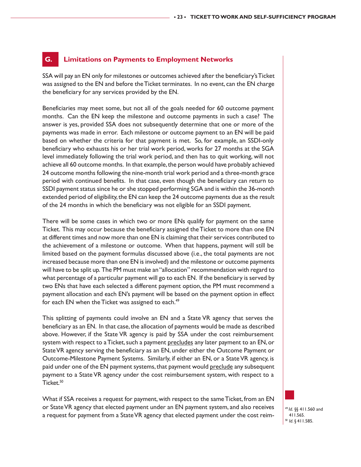#### **G. Limitations on Payments to Employment Networks**

SSA will pay an EN only for milestones or outcomes achieved after the beneficiary's Ticket was assigned to the EN and before the Ticket terminates. In no event, can the EN charge the beneficiary for any services provided by the EN.

Beneficiaries may meet some, but not all of the goals needed for 60 outcome payment months. Can the EN keep the milestone and outcome payments in such a case? The answer is yes, provided SSA does not subsequently determine that one or more of the payments was made in error. Each milestone or outcome payment to an EN will be paid based on whether the criteria for that payment is met. So, for example, an SSDI-only beneficiary who exhausts his or her trial work period, works for 27 months at the SGA level immediately following the trial work period, and then has to quit working, will not achieve all 60 outcome months. In that example, the person would have probably achieved 24 outcome months following the nine-month trial work period and a three-month grace period with continued benefits. In that case, even though the beneficiary can return to SSDI payment status since he or she stopped performing SGA and is within the 36-month extended period of eligibility, the EN can keep the 24 outcome payments due as the result of the 24 months in which the beneficiary was not eligible for an SSDI payment.

There will be some cases in which two or more ENs qualify for payment on the same Ticket. This may occur because the beneficiary assigned the Ticket to more than one EN at different times and now more than one EN is claiming that their services contributed to the achievement of a milestone or outcome. When that happens, payment will still be limited based on the payment formulas discussed above (i.e., the total payments are not increased because more than one EN is involved) and the milestone or outcome payments will have to be split up. The PM must make an "allocation" recommendation with regard to what percentage of a particular payment will go to each EN. If the beneficiary is served by two ENs that have each selected a different payment option, the PM must recommend a payment allocation and each EN's payment will be based on the payment option in effect for each EN when the Ticket was assigned to each.<sup>49</sup>

This splitting of payments could involve an EN and a State VR agency that serves the beneficiary as an EN. In that case, the allocation of payments would be made as described above. However, if the State VR agency is paid by SSA under the cost reimbursement system with respect to a Ticket, such a payment precludes any later payment to an EN, or State VR agency serving the beneficiary as an EN, under either the Outcome Payment or Outcome-Milestone Payment Systems. Similarly, if either an EN, or a State VR agency, is paid under one of the EN payment systems, that payment would preclude any subsequent payment to a State VR agency under the cost reimbursement system, with respect to a Ticket.<sup>50</sup>

What if SSA receives a request for payment, with respect to the same Ticket, from an EN or State VR agency that elected payment under an EN payment system, and also receives a request for payment from a State VR agency that elected payment under the cost reim-

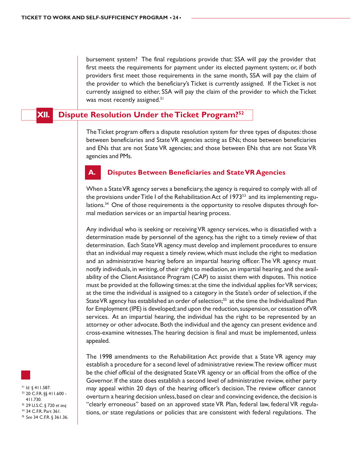bursement system? The final regulations provide that: SSA will pay the provider that first meets the requirements for payment under its elected payment system; or, if both providers first meet those requirements in the same month, SSA will pay the claim of the provider to which the beneficiary's Ticket is currently assigned. If the Ticket is not currently assigned to either, SSA will pay the claim of the provider to which the Ticket was most recently assigned.<sup>51</sup>

**Dispute Resolution Under the Ticket Program?<sup>52</sup>** 

The Ticket program offers a dispute resolution system for three types of disputes: those between beneficiaries and State VR agencies acting as ENs; those between beneficiaries and ENs that are not State VR agencies; and those between ENs that are not State VR agencies and PMs.

#### **A. Disputes Between Beneficiaries and State VR Agencies**

When a State VR agency serves a beneficiary, the agency is required to comply with all of the provisions under Title I of the Rehabilitation Act of 1973 $^{53}$  and its implementing regulations.<sup>54</sup> One of those requirements is the opportunity to resolve disputes through formal mediation services or an impartial hearing process.

Any individual who is seeking or receiving VR agency services, who is dissatisfied with a determination made by personnel of the agency, has the right to a timely review of that determination. Each State VR agency must develop and implement procedures to ensure that an individual may request a timely review, which must include the right to mediation and an administrative hearing before an impartial hearing officer. The VR agency must notify individuals, in writing, of their right to mediation, an impartial hearing, and the availability of the Client Assistance Program (CAP) to assist them with disputes. This notice must be provided at the following times: at the time the individual applies for VR services; at the time the individual is assigned to a category in the State's order of selection, if the State VR agency has established an order of selection;<sup>55</sup> at the time the Individualized Plan for Employment (IPE) is developed; and upon the reduction, suspension, or cessation of VR services. At an impartial hearing, the individual has the right to be represented by an attorney or other advocate. Both the individual and the agency can present evidence and cross-examine witnesses. The hearing decision is final and must be implemented, unless appealed.

The 1998 amendments to the Rehabilitation Act provide that a State VR agency may establish a procedure for a second level of administrative review. The review officer must be the chief official of the designated State VR agency or an official from the office of the Governor. If the state does establish a second level of administrative review, either party may appeal within 20 days of the hearing officer's decision. The review officer cannot overturn a hearing decision unless, based on clear and convincing evidence, the decision is "clearly erroneous" based on an approved state VR Plan, federal law, federal VR regulations, or state regulations or policies that are consistent with federal regulations. The

<sup>51</sup> *Id*. § 411.587. 52 20 C.F.R. §§ 411.600 - 411.730. 53 29 U.S.C. § 720 *et seq* 54 34 C.F.R. Part 361. <sup>55</sup> *See* 34 C.F.R. § 361.36.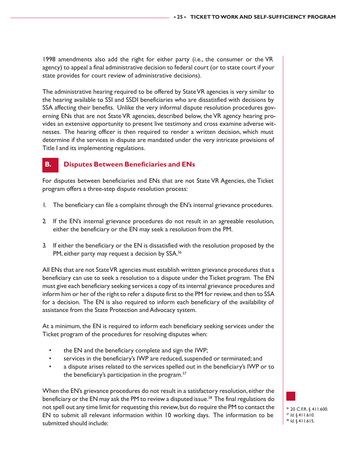1998 amendments also add the right for either party (i.e., the consumer or the VR agency) to appeal a final administrative decision to federal court (or to state court if your state provides for court review of administrative decisions).

The administrative hearing required to be offered by State VR agencies is very similar to the hearing available to SSI and SSDI beneficiaries who are dissatisfied with decisions by SSA affecting their benefits. Unlike the very informal dispute resolution procedures governing ENs that are not State VR agencies, described below, the VR agency hearing provides an extensive opportunity to present live testimony and cross examine adverse witnesses. The hearing officer is then required to render a written decision, which must determine if the services in dispute are mandated under the very intricate provisions of Title I and its implementing regulations.

# **B. Disputes Between Beneficiaries and ENs**

For disputes between beneficiaries and ENs that are not State VR Agencies, the Ticket program offers a three-step dispute resolution process:

- 1. The beneficiary can file a complaint through the EN's internal grievance procedures.
- 2. If the EN's internal grievance procedures do not result in an agreeable resolution, either the beneficiary or the EN may seek a resolution from the PM.
- 3. If either the beneficiary or the EN is dissatisfied with the resolution proposed by the PM, either party may request a decision by SSA.<sup>56</sup>

All ENs that are not State VR agencies must establish written grievance procedures that a beneficiary can use to seek a resolution to a dispute under the Ticket program. The EN must give each beneficiary seeking services a copy of its internal grievance procedures and inform him or her of the right to refer a dispute first to the PM for review, and then to SSA for a decision. The EN is also required to inform each beneficiary of the availability of assistance from the State Protection and Advocacy system.

At a minimum, the EN is required to inform each beneficiary seeking services under the Ticket program of the procedures for resolving disputes when:

- the EN and the beneficiary complete and sign the IWP;
- services in the beneficiary's IWP are reduced, suspended or terminated; and
- a dispute arises related to the services spelled out in the beneficiary's IWP or to the beneficiary's participation in the program.<sup>57</sup>

When the EN's grievance procedures do not result in a satisfactory resolution, either the beneficiary or the EN may ask the PM to review a disputed issue.<sup>58</sup> The final regulations do not spell out any time limit for requesting this review, but do require the PM to contact the EN to submit all relevant information within 10 working days. The information to be submitted should include:

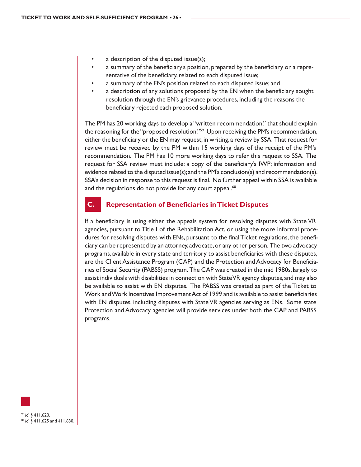- a description of the disputed issue(s);
- a summary of the beneficiary's position, prepared by the beneficiary or a representative of the beneficiary, related to each disputed issue;
- a summary of the EN's position related to each disputed issue; and
- a description of any solutions proposed by the EN when the beneficiary sought resolution through the EN's grievance procedures, including the reasons the beneficiary rejected each proposed solution.

The PM has 20 working days to develop a "written recommendation," that should explain the reasoning for the "proposed resolution."<sup>59</sup> Upon receiving the PM's recommendation, either the beneficiary or the EN may request, in writing, a review by SSA. That request for review must be received by the PM within 15 working days of the receipt of the PM's recommendation. The PM has 10 more working days to refer this request to SSA. The request for SSA review must include: a copy of the beneficiary's IWP; information and evidence related to the disputed issue(s); and the PM's conclusion(s) and recommendation(s). SSA's decision in response to this request is final. No further appeal within SSA is available and the regulations do not provide for any court appeal.<sup>60</sup>

#### **C. Representation of Beneficiaries in Ticket Disputes**

If a beneficiary is using either the appeals system for resolving disputes with State VR agencies, pursuant to Title I of the Rehabilitation Act, or using the more informal procedures for resolving disputes with ENs, pursuant to the final Ticket regulations, the beneficiary can be represented by an attorney, advocate, or any other person. The two advocacy programs, available in every state and territory to assist beneficiaries with these disputes, are the Client Assistance Program (CAP) and the Protection and Advocacy for Beneficiaries of Social Security (PABSS) program. The CAP was created in the mid 1980s, largely to assist individuals with disabilities in connection with State VR agency disputes, and may also be available to assist with EN disputes. The PABSS was created as part of the Ticket to Work and Work Incentives Improvement Act of 1999 and is available to assist beneficiaries with EN disputes, including disputes with State VR agencies serving as ENs. Some state Protection and Advocacy agencies will provide services under both the CAP and PABSS programs.

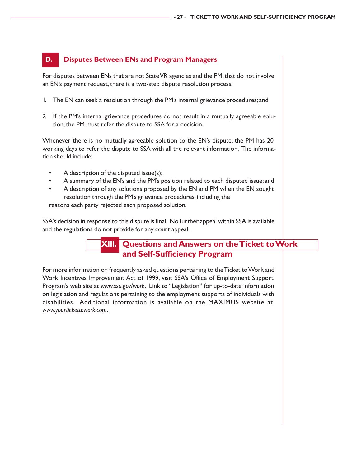# **D. Disputes Between ENs and Program Managers**

For disputes between ENs that are not State VR agencies and the PM, that do not involve an EN's payment request, there is a two-step dispute resolution process:

- 1. The EN can seek a resolution through the PM's internal grievance procedures; and
- 2. If the PM's internal grievance procedures do not result in a mutually agreeable solution, the PM must refer the dispute to SSA for a decision.

Whenever there is no mutually agreeable solution to the EN's dispute, the PM has 20 working days to refer the dispute to SSA with all the relevant information. The information should include:

- A description of the disputed issue(s);
- A summary of the EN's and the PM's position related to each disputed issue; and
- A description of any solutions proposed by the EN and PM when the EN sought resolution through the PM's grievance procedures, including the

reasons each party rejected each proposed solution.

SSA's decision in response to this dispute is final. No further appeal within SSA is available and the regulations do not provide for any court appeal.

# **XIII. Questions and Answers on the Ticket to Work and Self-Sufficiency Program**

For more information on frequently asked questions pertaining to the Ticket to Work and Work Incentives Improvement Act of 1999, visit SSA's Office of Employment Support Program's web site at *www.ssa.gov/work*. Link to "Legislation" for up-to-date information on legislation and regulations pertaining to the employment supports of individuals with disabilities. Additional information is available on the MAXIMUS website at *www.yourtickettowork.com*.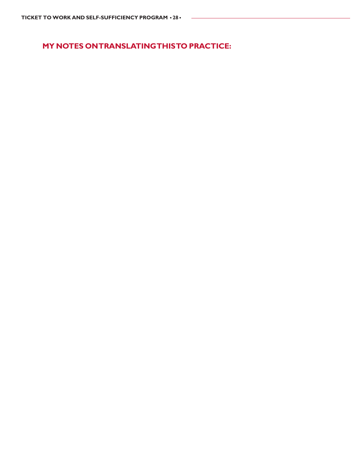**MY NOTES ON TRANSLATING THIS TO PRACTICE:**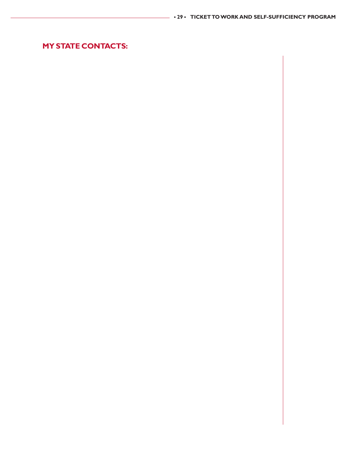# **MY STATE CONTACTS:**